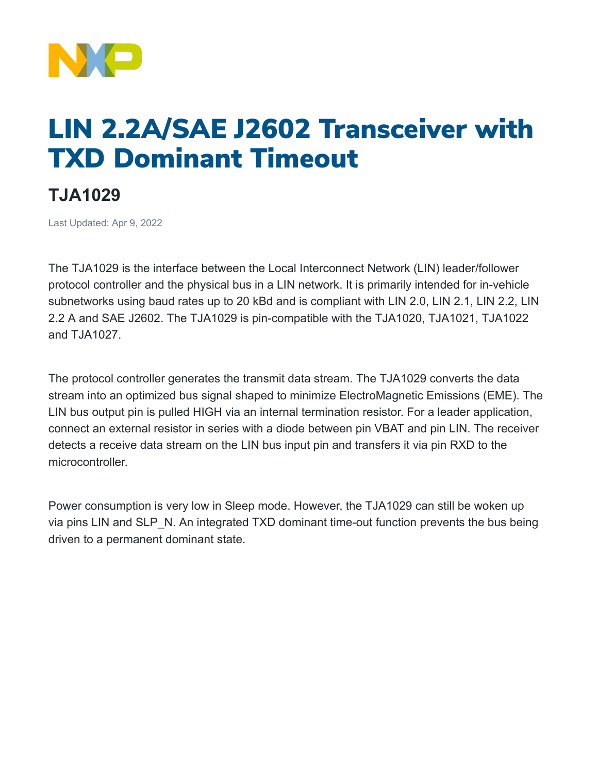

## LIN 2.2A/SAE J2602 Transceiver with TXD Dominant Timeout

## **TJA1029**

Last Updated: Apr 9, 2022

The TJA1029 is the interface between the Local Interconnect Network (LIN) leader/follower protocol controller and the physical bus in a LIN network. It is primarily intended for in-vehicle subnetworks using baud rates up to 20 kBd and is compliant with LIN 2.0, LIN 2.1, LIN 2.2, LIN 2.2 A and SAE J2602. The TJA1029 is pin-compatible with the TJA1020, TJA1021, TJA1022 and TJA1027.

The protocol controller generates the transmit data stream. The TJA1029 converts the data stream into an optimized bus signal shaped to minimize ElectroMagnetic Emissions (EME). The LIN bus output pin is pulled HIGH via an internal termination resistor. For a leader application, connect an external resistor in series with a diode between pin VBAT and pin LIN. The receiver detects a receive data stream on the LIN bus input pin and transfers it via pin RXD to the microcontroller.

Power consumption is very low in Sleep mode. However, the TJA1029 can still be woken up via pins LIN and SLP N. An integrated TXD dominant time-out function prevents the bus being driven to a permanent dominant state.